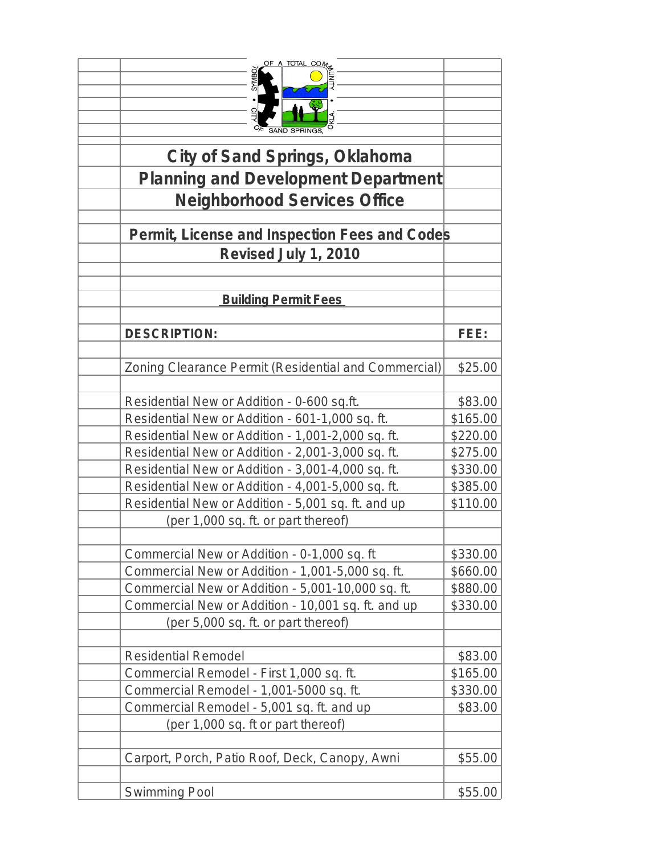| OF A TOTAL COM<br>OKLA<br><b>City of Sand Springs, Oklahoma</b><br><b>Planning and Development Department</b> |          |
|---------------------------------------------------------------------------------------------------------------|----------|
| <b>Neighborhood Services Office</b>                                                                           |          |
|                                                                                                               |          |
| Permit, License and Inspection Fees and Codes                                                                 |          |
| Revised July 1, 2010                                                                                          |          |
| <b>Building Permit Fees</b>                                                                                   |          |
|                                                                                                               |          |
| <b>DESCRIPTION:</b>                                                                                           | FEE:     |
|                                                                                                               |          |
| Zoning Clearance Permit (Residential and Commercial)                                                          | \$25.00  |
| Residential New or Addition - 0-600 sq.ft.                                                                    | \$83.00  |
| Residential New or Addition - 601-1,000 sq. ft.                                                               | \$165.00 |
| Residential New or Addition - 1,001-2,000 sq. ft.                                                             | \$220.00 |
| Residential New or Addition - 2,001-3,000 sq. ft.                                                             | \$275.00 |
| Residential New or Addition - 3,001-4,000 sq. ft.                                                             | \$330.00 |
| Residential New or Addition - 4,001-5,000 sq. ft.                                                             | \$385.00 |
| Residential New or Addition - 5,001 sq. ft. and up                                                            | \$110.00 |
| (per 1,000 sq. ft. or part thereof)                                                                           |          |
|                                                                                                               | \$330.00 |
| Commercial New or Addition - 0-1,000 sq. ft<br>Commercial New or Addition - 1,001-5,000 sq. ft.               | \$660.00 |
| Commercial New or Addition - 5,001-10,000 sq. ft.                                                             | \$880.00 |
| Commercial New or Addition - 10,001 sq. ft. and up                                                            | \$330.00 |
| (per 5,000 sq. ft. or part thereof)                                                                           |          |
|                                                                                                               |          |
| <b>Residential Remodel</b>                                                                                    | \$83.00  |
| Commercial Remodel - First 1,000 sq. ft.                                                                      | \$165.00 |
| Commercial Remodel - 1,001-5000 sq. ft.                                                                       | \$330.00 |
| Commercial Remodel - 5,001 sq. ft. and up                                                                     | \$83.00  |
| (per 1,000 sq. ft or part thereof)                                                                            |          |
|                                                                                                               |          |
| Carport, Porch, Patio Roof, Deck, Canopy, Awni                                                                | \$55.00  |
| Swimming Pool                                                                                                 | \$55.00  |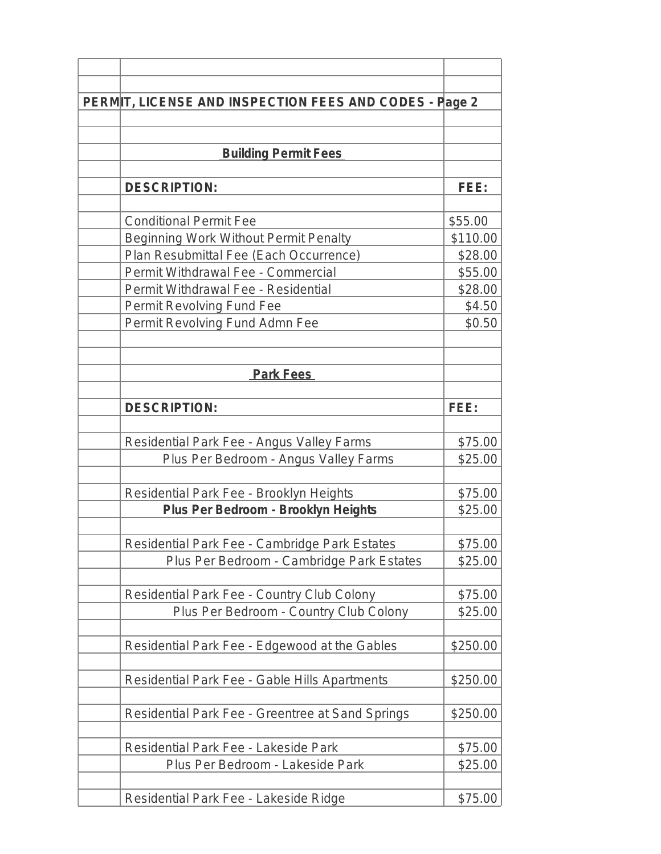| PERMIT, LICENSE AND INSPECTION FEES AND CODES - Page 2 |          |
|--------------------------------------------------------|----------|
|                                                        |          |
|                                                        |          |
| <b>Building Permit Fees</b>                            |          |
|                                                        |          |
| <b>DESCRIPTION:</b>                                    | FEE:     |
|                                                        |          |
| <b>Conditional Permit Fee</b>                          | \$55.00  |
| Beginning Work Without Permit Penalty                  | \$110.00 |
| Plan Resubmittal Fee (Each Occurrence)                 | \$28.00  |
| Permit Withdrawal Fee - Commercial                     | \$55.00  |
| Permit Withdrawal Fee - Residential                    | \$28.00  |
| Permit Revolving Fund Fee                              | \$4.50   |
| Permit Revolving Fund Admn Fee                         | \$0.50   |
|                                                        |          |
|                                                        |          |
| <b>Park Fees</b>                                       |          |
|                                                        |          |
| <b>DESCRIPTION:</b>                                    | FEE:     |
|                                                        |          |
| Residential Park Fee - Angus Valley Farms              | \$75.00  |
| Plus Per Bedroom - Angus Valley Farms                  | \$25.00  |
|                                                        |          |
| Residential Park Fee - Brooklyn Heights                | \$75.00  |
| Plus Per Bedroom - Brooklyn Heights                    | \$25.00  |
|                                                        |          |
| Residential Park Fee - Cambridge Park Estates          | \$75.00  |
| Plus Per Bedroom - Cambridge Park Estates              | \$25.00  |
|                                                        |          |
| Residential Park Fee - Country Club Colony             | \$75.00  |
| Plus Per Bedroom - Country Club Colony                 | \$25.00  |
|                                                        |          |
| Residential Park Fee - Edgewood at the Gables          | \$250.00 |
|                                                        |          |
| Residential Park Fee - Gable Hills Apartments          | \$250.00 |
|                                                        |          |
| Residential Park Fee - Greentree at Sand Springs       | \$250.00 |
|                                                        |          |
| Residential Park Fee - Lakeside Park                   | \$75.00  |
| Plus Per Bedroom - Lakeside Park                       | \$25.00  |
|                                                        |          |
| Residential Park Fee - Lakeside Ridge                  | \$75.00  |
|                                                        |          |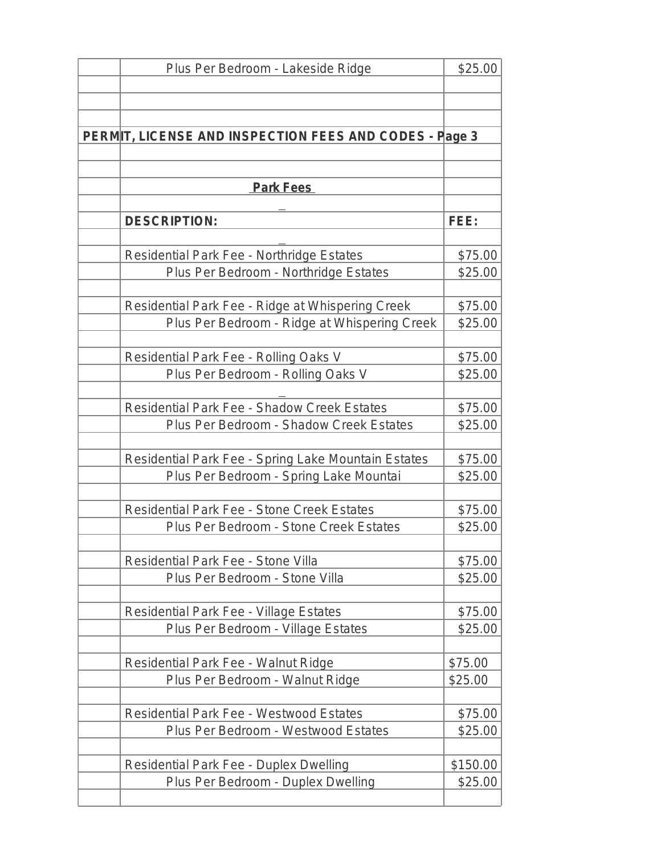| Plus Per Bedroom - Lakeside Ridge                      | \$25.00  |
|--------------------------------------------------------|----------|
|                                                        |          |
|                                                        |          |
|                                                        |          |
| PERMIT, LICENSE AND INSPECTION FEES AND CODES - Page 3 |          |
|                                                        |          |
|                                                        |          |
| <b>Park Fees</b>                                       |          |
|                                                        |          |
| <b>DESCRIPTION:</b>                                    | FEE:     |
|                                                        |          |
| Residential Park Fee - Northridge Estates              | \$75.00  |
| Plus Per Bedroom - Northridge Estates                  | \$25.00  |
|                                                        |          |
| Residential Park Fee - Ridge at Whispering Creek       | \$75.00  |
| Plus Per Bedroom - Ridge at Whispering Creek           | \$25.00  |
|                                                        |          |
| Residential Park Fee - Rolling Oaks V                  | \$75.00  |
| Plus Per Bedroom - Rolling Oaks V                      | \$25.00  |
|                                                        |          |
| Residential Park Fee - Shadow Creek Estates            | \$75.00  |
| Plus Per Bedroom - Shadow Creek Estates                | \$25.00  |
|                                                        |          |
| Residential Park Fee - Spring Lake Mountain Estates    | \$75.00  |
| Plus Per Bedroom - Spring Lake Mountai                 | \$25.00  |
|                                                        |          |
| Residential Park Fee - Stone Creek Estates             | \$75.00  |
| Plus Per Bedroom - Stone Creek Estates                 | \$25.00  |
|                                                        |          |
| Residential Park Fee - Stone Villa                     | \$75.00  |
| Plus Per Bedroom - Stone Villa                         | \$25.00  |
|                                                        |          |
| Residential Park Fee - Village Estates                 | \$75.00  |
| Plus Per Bedroom - Village Estates                     | \$25.00  |
|                                                        |          |
| Residential Park Fee - Walnut Ridge                    | \$75.00  |
| Plus Per Bedroom - Walnut Ridge                        | \$25.00  |
|                                                        |          |
| Residential Park Fee - Westwood Estates                | \$75.00  |
| Plus Per Bedroom - Westwood Estates                    | \$25.00  |
|                                                        |          |
| Residential Park Fee - Duplex Dwelling                 | \$150.00 |
| Plus Per Bedroom - Duplex Dwelling                     | \$25.00  |
|                                                        |          |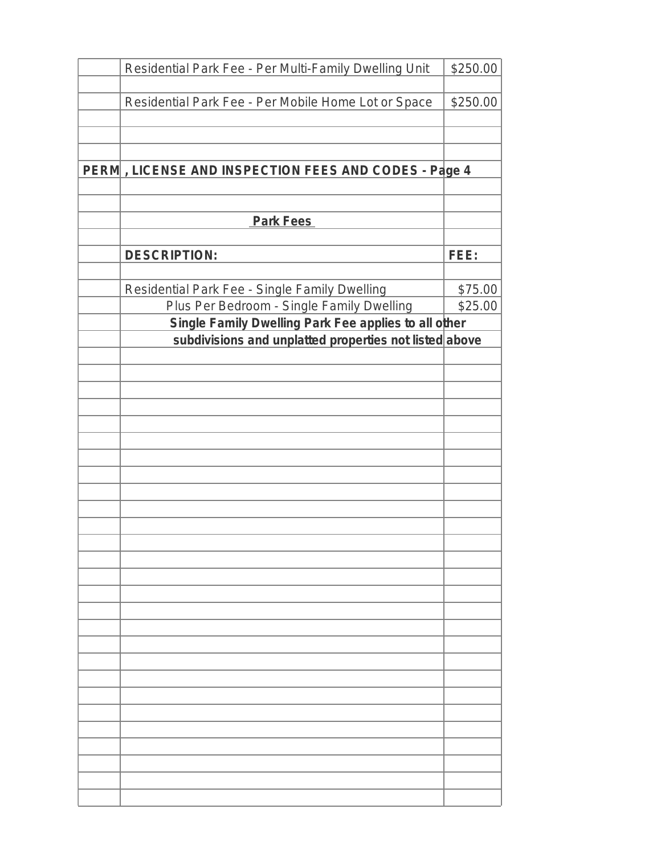| Residential Park Fee - Per Multi-Family Dwelling Unit  | \$250.00 |
|--------------------------------------------------------|----------|
|                                                        |          |
| Residential Park Fee - Per Mobile Home Lot or Space    | \$250.00 |
|                                                        |          |
|                                                        |          |
| PERM, LICENSE AND INSPECTION FEES AND CODES - Page 4   |          |
|                                                        |          |
|                                                        |          |
| <b>Park Fees</b>                                       |          |
|                                                        |          |
| <b>DESCRIPTION:</b>                                    | FEE:     |
| Residential Park Fee - Single Family Dwelling          | \$75.00  |
| Plus Per Bedroom - Single Family Dwelling              | \$25.00  |
| Single Family Dwelling Park Fee applies to all other   |          |
| subdivisions and unplatted properties not listed above |          |
|                                                        |          |
|                                                        |          |
|                                                        |          |
|                                                        |          |
|                                                        |          |
|                                                        |          |
|                                                        |          |
|                                                        |          |
|                                                        |          |
|                                                        |          |
|                                                        |          |
|                                                        |          |
|                                                        |          |
|                                                        |          |
|                                                        |          |
|                                                        |          |
|                                                        |          |
|                                                        |          |
|                                                        |          |
|                                                        |          |
|                                                        |          |
|                                                        |          |
|                                                        |          |
|                                                        |          |
|                                                        |          |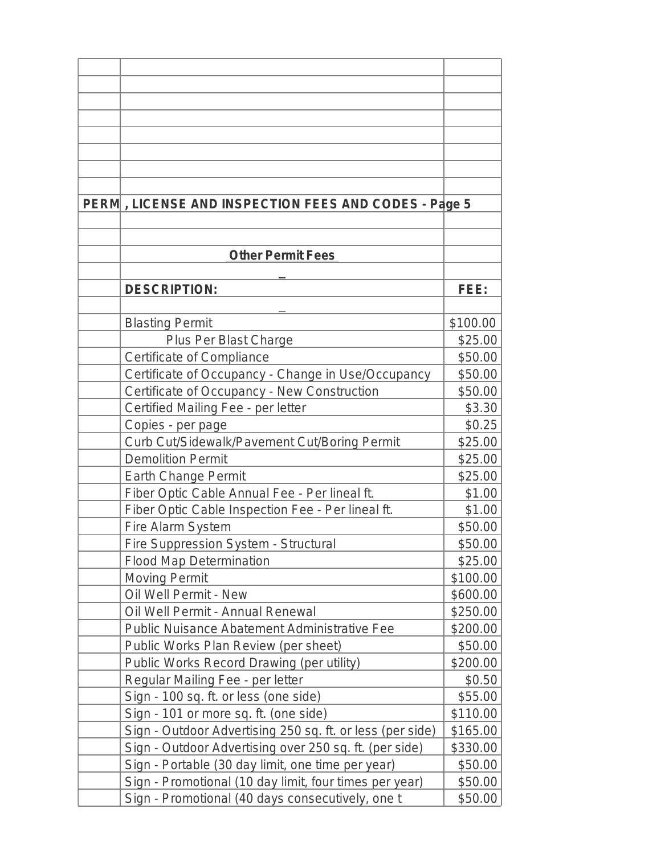| PERM, LICENSE AND INSPECTION FEES AND CODES - Page 5      |          |
|-----------------------------------------------------------|----------|
|                                                           |          |
|                                                           |          |
| <b>Other Permit Fees</b>                                  |          |
| <b>DESCRIPTION:</b>                                       | FEE:     |
|                                                           |          |
| <b>Blasting Permit</b>                                    | \$100.00 |
| Plus Per Blast Charge                                     | \$25.00  |
| Certificate of Compliance                                 | \$50.00  |
| Certificate of Occupancy - Change in Use/Occupancy        | \$50.00  |
| Certificate of Occupancy - New Construction               | \$50.00  |
| Certified Mailing Fee - per letter                        | \$3.30   |
| Copies - per page                                         | \$0.25   |
| Curb Cut/Sidewalk/Pavement Cut/Boring Permit              | \$25.00  |
| <b>Demolition Permit</b>                                  | \$25.00  |
| Earth Change Permit                                       | \$25.00  |
| Fiber Optic Cable Annual Fee - Per lineal ft.             | \$1.00   |
| Fiber Optic Cable Inspection Fee - Per lineal ft.         | \$1.00   |
| Fire Alarm System                                         | \$50.00  |
| Fire Suppression System - Structural                      | \$50.00  |
| <b>Flood Map Determination</b>                            | \$25.00  |
| <b>Moving Permit</b>                                      | \$100.00 |
| Oil Well Permit - New                                     | \$600.00 |
| Oil Well Permit - Annual Renewal                          | \$250.00 |
| Public Nuisance Abatement Administrative Fee              | \$200.00 |
| Public Works Plan Review (per sheet)                      | \$50.00  |
| Public Works Record Drawing (per utility)                 | \$200.00 |
|                                                           | \$0.50   |
| Regular Mailing Fee - per letter                          |          |
| Sign - 100 sq. ft. or less (one side)                     | \$55.00  |
| Sign - 101 or more sq. ft. (one side)                     | \$110.00 |
| Sign - Outdoor Advertising 250 sq. ft. or less (per side) | \$165.00 |
| Sign - Outdoor Advertising over 250 sq. ft. (per side)    | \$330.00 |
| Sign - Portable (30 day limit, one time per year)         | \$50.00  |
| Sign - Promotional (10 day limit, four times per year)    | \$50.00  |
| Sign - Promotional (40 days consecutively, one t          | \$50.00  |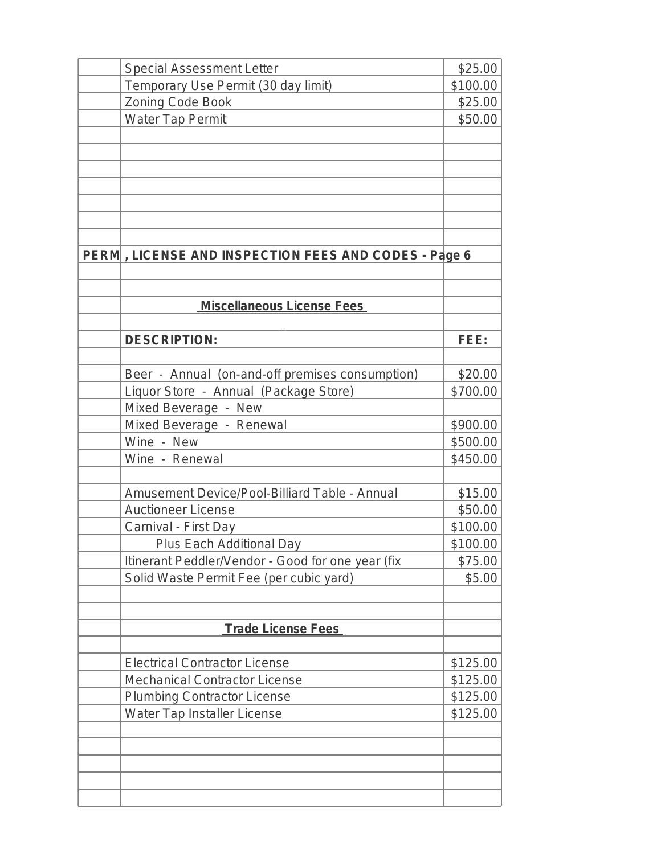| <b>Special Assessment Letter</b>                     | \$25.00  |
|------------------------------------------------------|----------|
| Temporary Use Permit (30 day limit)                  | \$100.00 |
| Zoning Code Book                                     | \$25.00  |
| Water Tap Permit                                     | \$50.00  |
|                                                      |          |
|                                                      |          |
|                                                      |          |
|                                                      |          |
|                                                      |          |
|                                                      |          |
|                                                      |          |
| PERM, LICENSE AND INSPECTION FEES AND CODES - Page 6 |          |
|                                                      |          |
|                                                      |          |
| <b>Miscellaneous License Fees</b>                    |          |
|                                                      |          |
| <b>DESCRIPTION:</b>                                  | FEE:     |
|                                                      |          |
| Beer - Annual (on-and-off premises consumption)      | \$20.00  |
| Liquor Store - Annual (Package Store)                | \$700.00 |
| Mixed Beverage - New                                 |          |
| Mixed Beverage - Renewal                             | \$900.00 |
| Wine - New                                           | \$500.00 |
| Wine - Renewal                                       | \$450.00 |
|                                                      |          |
| Amusement Device/Pool-Billiard Table - Annual        | \$15.00  |
| <b>Auctioneer License</b>                            | \$50.00  |
| Carnival - First Day                                 | \$100.00 |
| Plus Each Additional Day                             | \$100.00 |
| Itinerant Peddler/Vendor - Good for one year (fix    | \$75.00  |
| Solid Waste Permit Fee (per cubic yard)              | \$5.00   |
|                                                      |          |
|                                                      |          |
| <b>Trade License Fees</b>                            |          |
|                                                      |          |
| <b>Electrical Contractor License</b>                 | \$125.00 |
| <b>Mechanical Contractor License</b>                 | \$125.00 |
| <b>Plumbing Contractor License</b>                   | \$125.00 |
| Water Tap Installer License                          | \$125.00 |
|                                                      |          |
|                                                      |          |
|                                                      |          |
|                                                      |          |
|                                                      |          |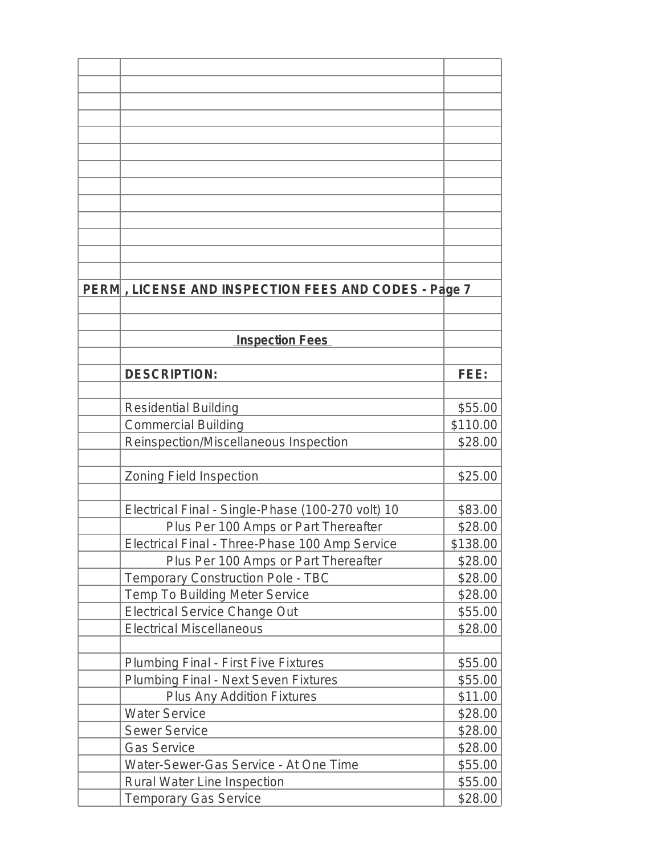| PERM, LICENSE AND INSPECTION FEES AND CODES - Page 7 |          |
|------------------------------------------------------|----------|
|                                                      |          |
|                                                      |          |
| <b>Inspection Fees</b>                               |          |
|                                                      |          |
| <b>DESCRIPTION:</b>                                  | FEE:     |
|                                                      |          |
| <b>Residential Building</b>                          | \$55.00  |
| <b>Commercial Building</b>                           | \$110.00 |
| Reinspection/Miscellaneous Inspection                | \$28.00  |
|                                                      |          |
| Zoning Field Inspection                              | \$25.00  |
|                                                      |          |
| Electrical Final - Single-Phase (100-270 volt) 10    | \$83.00  |
| Plus Per 100 Amps or Part Thereafter                 | \$28.00  |
| Electrical Final - Three-Phase 100 Amp Service       | \$138.00 |
| Plus Per 100 Amps or Part Thereafter                 | \$28.00  |
| <b>Temporary Construction Pole - TBC</b>             | \$28.00  |
| Temp To Building Meter Service                       | \$28.00  |
| <b>Electrical Service Change Out</b>                 | \$55.00  |
| <b>Electrical Miscellaneous</b>                      | \$28.00  |
|                                                      |          |
| <b>Plumbing Final - First Five Fixtures</b>          | \$55.00  |
| Plumbing Final - Next Seven Fixtures                 | \$55.00  |
| Plus Any Addition Fixtures                           | \$11.00  |
| <b>Water Service</b>                                 | \$28.00  |
| <b>Sewer Service</b>                                 | \$28.00  |
| <b>Gas Service</b>                                   | \$28.00  |
| Water-Sewer-Gas Service - At One Time                | \$55.00  |
| Rural Water Line Inspection                          | \$55.00  |
| <b>Temporary Gas Service</b>                         | \$28.00  |